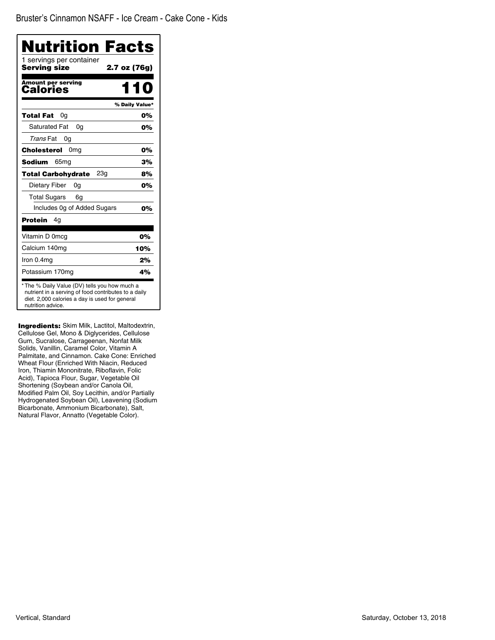| <b>Nutrition Facts</b>                                                                                                                                                       |                |
|------------------------------------------------------------------------------------------------------------------------------------------------------------------------------|----------------|
| 1 servings per container<br><b>Serving size</b>                                                                                                                              | 2.7 oz (76g)   |
| <b>Amount per serving</b><br>Calories                                                                                                                                        | 110            |
|                                                                                                                                                                              | % Daily Value* |
| Total Fat<br>0a                                                                                                                                                              | 0%             |
| <b>Saturated Fat</b><br>0a                                                                                                                                                   | 0%             |
| Trans Fat<br>0g                                                                                                                                                              |                |
| Cholesterol<br>0 <sub>mg</sub>                                                                                                                                               | 0%             |
| <b>Sodium</b><br>65 <sub>mq</sub>                                                                                                                                            | 3%             |
| <b>Total Carbohydrate</b><br>23g                                                                                                                                             | 8%             |
| Dietary Fiber<br>0g                                                                                                                                                          | 0%             |
| <b>Total Sugars</b><br>6g                                                                                                                                                    |                |
| Includes Og of Added Sugars                                                                                                                                                  | 0%             |
| Protein<br>4g                                                                                                                                                                |                |
| Vitamin D 0mcg                                                                                                                                                               | 0%             |
| Calcium 140mg                                                                                                                                                                | 10%            |
| Iron 0.4mg                                                                                                                                                                   | 2%             |
| Potassium 170mg                                                                                                                                                              | 4%             |
| * The % Daily Value (DV) tells you how much a<br>nutrient in a serving of food contributes to a daily<br>diet. 2,000 calories a day is used for general<br>nutrition advice. |                |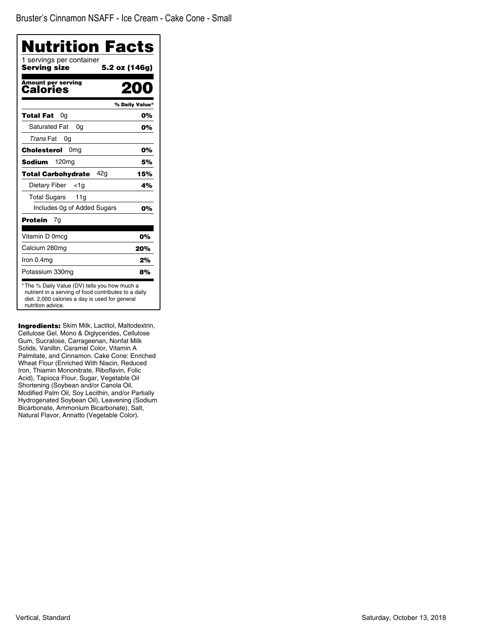| Nutrition Facts                                                                                                                                                              |                |
|------------------------------------------------------------------------------------------------------------------------------------------------------------------------------|----------------|
| 1 servings per container<br>Serving size<br>5.2 oz (146g)                                                                                                                    |                |
| <b>Amount per serving</b><br>Calories                                                                                                                                        | 200            |
|                                                                                                                                                                              | % Daily Value* |
| Total Fat<br>0a                                                                                                                                                              | 0%             |
| <b>Saturated Fat</b><br>0a                                                                                                                                                   | 0%             |
| Trans Fat<br>0a                                                                                                                                                              |                |
| Cholesterol<br>0 <sub>mg</sub>                                                                                                                                               | 0%             |
| <b>Sodium</b><br>120 <sub>mg</sub>                                                                                                                                           | 5%             |
| 42g<br><b>Total Carbohydrate</b>                                                                                                                                             | 15%            |
| Dietary Fiber<br><1a                                                                                                                                                         | 4%             |
| <b>Total Sugars</b><br>11g                                                                                                                                                   |                |
| Includes Og of Added Sugars                                                                                                                                                  | 0%             |
| Protein<br>7g                                                                                                                                                                |                |
| Vitamin D 0mcg                                                                                                                                                               | 0%             |
| Calcium 280mg                                                                                                                                                                | 20%            |
| Iron 0.4mg                                                                                                                                                                   | 2%             |
| Potassium 330mg                                                                                                                                                              | 8%             |
| * The % Daily Value (DV) tells you how much a<br>nutrient in a serving of food contributes to a daily<br>diet. 2,000 calories a day is used for general<br>nutrition advice. |                |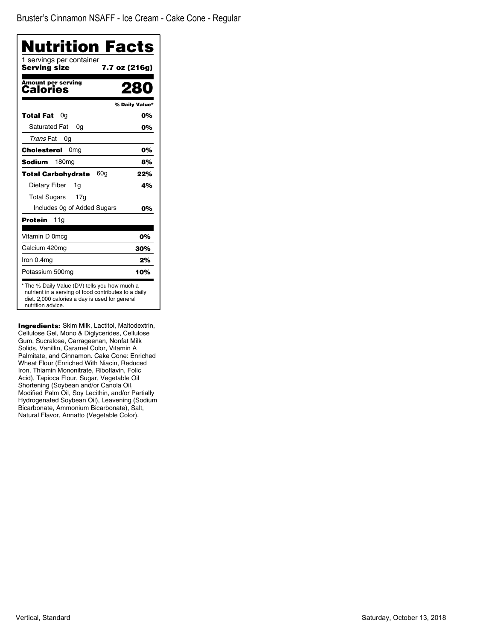| Nutrition Facts                          |                |
|------------------------------------------|----------------|
| 1 servings per container<br>Serving size | 7.7 oz (216g)  |
| Amount per serving<br>Calories           |                |
|                                          | % Daily Value* |
| 0g<br>Total Fat                          | 0%             |
| <b>Saturated Fat</b><br>0a               | 0%             |
| Trans Fat<br>0g                          |                |
| Cholesterol<br>0 <sub>mg</sub>           | 0%             |
| 180 <sub>mg</sub><br>Sodium              | 8%             |
| 60g<br><b>Total Carbohydrate</b>         | 22%            |
| Dietary Fiber<br>1g                      | 4%             |
| <b>Total Sugars</b><br>17 <sub>q</sub>   |                |
| Includes Og of Added Sugars              | 0%             |
| <b>Protein</b><br>11g                    |                |
| Vitamin D 0mcq                           | 0%             |
| Calcium 420mg                            | 30%            |
| Iron 0.4mg                               | 2%             |
| Potassium 500mg                          | 10%            |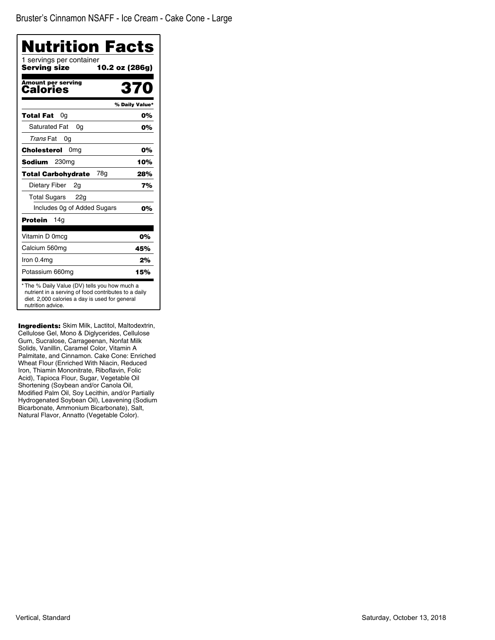| Nutrition Facts                                                                                                                                                              |                |
|------------------------------------------------------------------------------------------------------------------------------------------------------------------------------|----------------|
| 1 servings per container<br>Serving size<br>10.2 oz (286g)                                                                                                                   |                |
| <b>Amount per serving</b><br>Calories                                                                                                                                        | 370            |
|                                                                                                                                                                              | % Daily Value* |
| Total Fat<br>0g                                                                                                                                                              | 0%             |
| <b>Saturated Fat</b><br>0g                                                                                                                                                   | 0%             |
| Trans Fat<br>0g                                                                                                                                                              |                |
| Cholesterol<br>0 <sub>mg</sub>                                                                                                                                               | 0%             |
| <b>Sodium</b><br>230mg                                                                                                                                                       | 10%            |
| 78g<br><b>Total Carbohydrate</b>                                                                                                                                             | 28%            |
| Dietary Fiber<br>2 <sub>q</sub>                                                                                                                                              | 7%             |
| <b>Total Sugars</b><br>22g                                                                                                                                                   |                |
| Includes Og of Added Sugars                                                                                                                                                  | 0%             |
| Protein<br>14a                                                                                                                                                               |                |
| Vitamin D 0mcg                                                                                                                                                               | 0%             |
| Calcium 560mg                                                                                                                                                                | 45%            |
| Iron 0.4mg                                                                                                                                                                   | 2%             |
| Potassium 660mg                                                                                                                                                              | 15%            |
| * The % Daily Value (DV) tells you how much a<br>nutrient in a serving of food contributes to a daily<br>diet. 2,000 calories a day is used for general<br>nutrition advice. |                |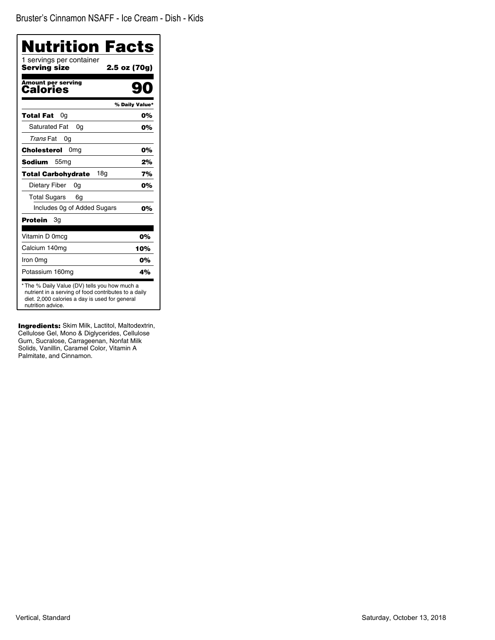| Nutrition Facts                                                                                                                                                              |                |
|------------------------------------------------------------------------------------------------------------------------------------------------------------------------------|----------------|
| 1 servings per container<br><b>Serving size</b>                                                                                                                              | 2.5 oz (70g)   |
| <b>Amount per serving</b><br>Calories                                                                                                                                        |                |
|                                                                                                                                                                              | % Daily Value* |
| Total Fat<br>0g                                                                                                                                                              | 0%             |
| <b>Saturated Fat</b><br>0g                                                                                                                                                   | 0%             |
| Trans Fat<br>0g                                                                                                                                                              |                |
| <b>Cholesterol</b><br>0 <sub>mg</sub>                                                                                                                                        | 0%             |
| Sodium<br>55 <sub>mg</sub>                                                                                                                                                   | 2%             |
| 18 <sub>q</sub><br><b>Total Carbohydrate</b>                                                                                                                                 | 7%             |
| Dietary Fiber<br>0a                                                                                                                                                          | 0%             |
| <b>Total Sugars</b><br>6g                                                                                                                                                    |                |
| Includes Og of Added Sugars                                                                                                                                                  | 0%             |
| Protein<br>Зq                                                                                                                                                                |                |
| Vitamin D 0mcg                                                                                                                                                               | 0%             |
| Calcium 140mg                                                                                                                                                                | 10%            |
| Iron 0mg                                                                                                                                                                     | 0%             |
| Potassium 160mg                                                                                                                                                              | 4%             |
| * The % Daily Value (DV) tells you how much a<br>nutrient in a serving of food contributes to a daily<br>diet. 2,000 calories a day is used for general<br>nutrition advice. |                |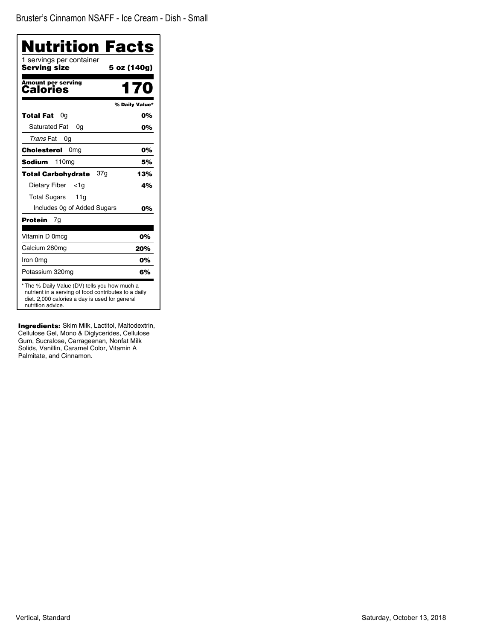| Nutrition Facts<br>1 servings per container                                                                                                                                  |                |
|------------------------------------------------------------------------------------------------------------------------------------------------------------------------------|----------------|
| Serving size                                                                                                                                                                 | 5 oz (140g)    |
| Amount per serving<br>Calories                                                                                                                                               | 170            |
|                                                                                                                                                                              | % Daily Value* |
| Total Fat<br>0g                                                                                                                                                              | 0%             |
| <b>Saturated Fat</b><br>0g                                                                                                                                                   | 0%             |
| Trans Fat<br>0g                                                                                                                                                              |                |
| Cholesterol<br>0 <sub>mg</sub>                                                                                                                                               | 0%             |
| 110 <sub>mg</sub><br><b>Sodium</b>                                                                                                                                           | 5%             |
| 37g<br><b>Total Carbohydrate</b>                                                                                                                                             | 13%            |
| Dietary Fiber<br>$<$ 1g                                                                                                                                                      | 4%             |
| <b>Total Sugars</b><br>11g                                                                                                                                                   |                |
| Includes Og of Added Sugars                                                                                                                                                  | 0%             |
| <b>Protein</b><br>7g                                                                                                                                                         |                |
| Vitamin D 0mcg                                                                                                                                                               | 0%             |
| Calcium 280mg                                                                                                                                                                | 20%            |
| Iron 0mg                                                                                                                                                                     | 0%             |
| Potassium 320mg                                                                                                                                                              | 6%             |
| * The % Daily Value (DV) tells you how much a<br>nutrient in a serving of food contributes to a daily<br>diet. 2,000 calories a day is used for general<br>nutrition advice. |                |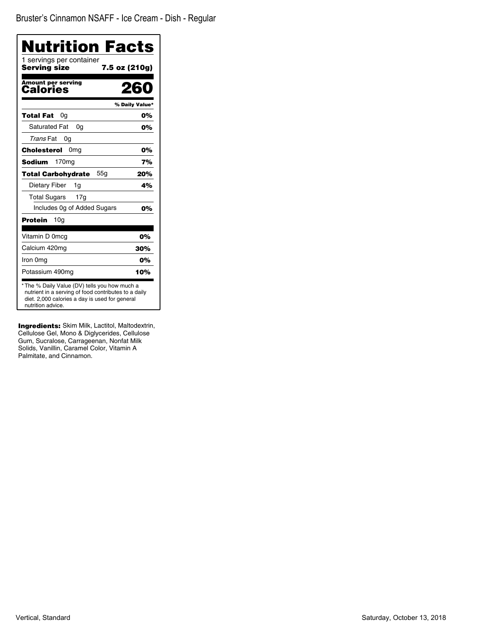| Nutrition Facts<br>1 servings per container<br>Serving size<br>7.5 oz (210g)                                                                                                 |                |
|------------------------------------------------------------------------------------------------------------------------------------------------------------------------------|----------------|
| <b>Amount per serving</b><br>Calories                                                                                                                                        | 260            |
|                                                                                                                                                                              | % Daily Value* |
| Total Fat<br>0a                                                                                                                                                              | 0%             |
| Saturated Fat<br>0a                                                                                                                                                          | 0%             |
| Trans Fat<br>0g                                                                                                                                                              |                |
| Cholesterol<br>0 <sub>mg</sub>                                                                                                                                               | 0%             |
| 170 <sub>mg</sub><br>Sodium                                                                                                                                                  | 7%             |
| 55q<br><b>Total Carbohydrate</b>                                                                                                                                             | 20%            |
| Dietary Fiber<br>1g                                                                                                                                                          | 4%             |
| <b>Total Sugars</b><br>17g                                                                                                                                                   |                |
| Includes Og of Added Sugars                                                                                                                                                  | 0%             |
| <b>Protein</b><br>10 <sub>q</sub>                                                                                                                                            |                |
| Vitamin D 0mcq                                                                                                                                                               | 0%             |
| Calcium 420mg                                                                                                                                                                | 30%            |
| Iron 0mg                                                                                                                                                                     | 0%             |
| Potassium 490mg                                                                                                                                                              | 10%            |
| * The % Daily Value (DV) tells you how much a<br>nutrient in a serving of food contributes to a daily<br>diet. 2,000 calories a day is used for general<br>nutrition advice. |                |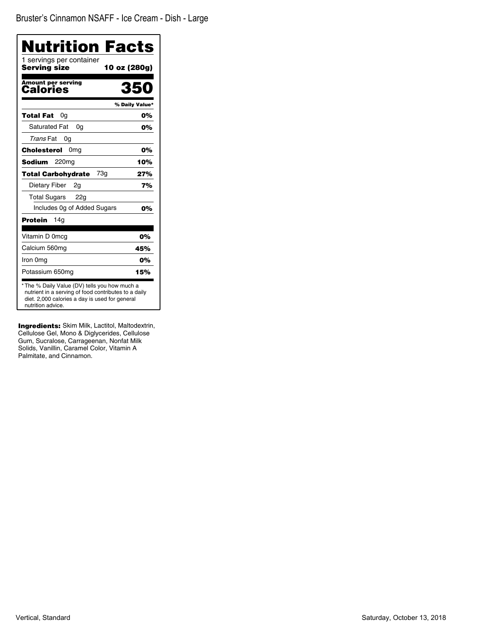| Nutrition Facts                                                                                                                                                              |                |
|------------------------------------------------------------------------------------------------------------------------------------------------------------------------------|----------------|
| 1 servings per container<br>Serving size<br>10 oz (280g)                                                                                                                     |                |
| <b>Amount per serving</b><br>Calories                                                                                                                                        | 350            |
|                                                                                                                                                                              | % Daily Value* |
| Total Fat<br>0g                                                                                                                                                              | 0%             |
| <b>Saturated Fat</b><br>0g                                                                                                                                                   | 0%             |
| Trans Fat<br>0g                                                                                                                                                              |                |
| <b>Cholesterol</b><br>0 <sub>mg</sub>                                                                                                                                        | 0%             |
| <b>Sodium</b><br>220mg                                                                                                                                                       | 10%            |
| 73g<br><b>Total Carbohydrate</b>                                                                                                                                             | 27%            |
| Dietary Fiber<br>2g                                                                                                                                                          | 7%             |
| <b>Total Sugars</b><br>22g                                                                                                                                                   |                |
| Includes Og of Added Sugars                                                                                                                                                  | 0%             |
| Protein<br>14a                                                                                                                                                               |                |
| Vitamin D 0mcq                                                                                                                                                               | 0%             |
| Calcium 560mg                                                                                                                                                                | 45%            |
| Iron 0mg                                                                                                                                                                     | 0%             |
| Potassium 650mg                                                                                                                                                              | 15%            |
| * The % Daily Value (DV) tells you how much a<br>nutrient in a serving of food contributes to a daily<br>diet. 2,000 calories a day is used for general<br>nutrition advice. |                |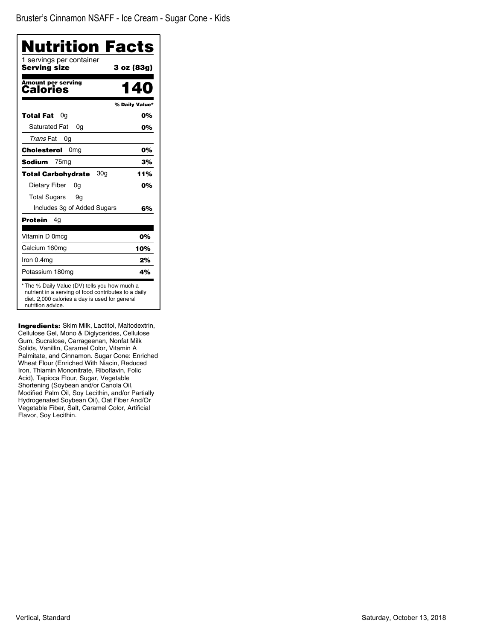| Nutrition Facts                                                                                                                                                              |                |
|------------------------------------------------------------------------------------------------------------------------------------------------------------------------------|----------------|
| 1 servings per container<br>Serving size                                                                                                                                     | 3 oz (83g)     |
| <b>Amount per serving</b><br>Calories                                                                                                                                        | 140            |
|                                                                                                                                                                              | % Daily Value* |
| Total Fat<br>0g                                                                                                                                                              | 0%             |
| <b>Saturated Fat</b><br>0a                                                                                                                                                   | 0%             |
| Trans Fat<br>0a                                                                                                                                                              |                |
| 0 <sub>mg</sub><br>Cholesterol                                                                                                                                               | 0%             |
| <b>Sodium</b><br>75 <sub>mg</sub>                                                                                                                                            | 3%             |
| 30g<br><b>Total Carbohydrate</b>                                                                                                                                             | 11%            |
| Dietary Fiber<br>0g                                                                                                                                                          | 0%             |
| <b>Total Sugars</b><br>9g                                                                                                                                                    |                |
| Includes 3g of Added Sugars                                                                                                                                                  | 6%             |
| Protein<br>4g                                                                                                                                                                |                |
| Vitamin D 0mcg                                                                                                                                                               | 0%             |
| Calcium 160mg                                                                                                                                                                | 10%            |
| Iron 0.4mg                                                                                                                                                                   | 2%             |
| Potassium 180mg                                                                                                                                                              | 4%             |
| * The % Daily Value (DV) tells you how much a<br>nutrient in a serving of food contributes to a daily<br>diet. 2,000 calories a day is used for general<br>nutrition advice. |                |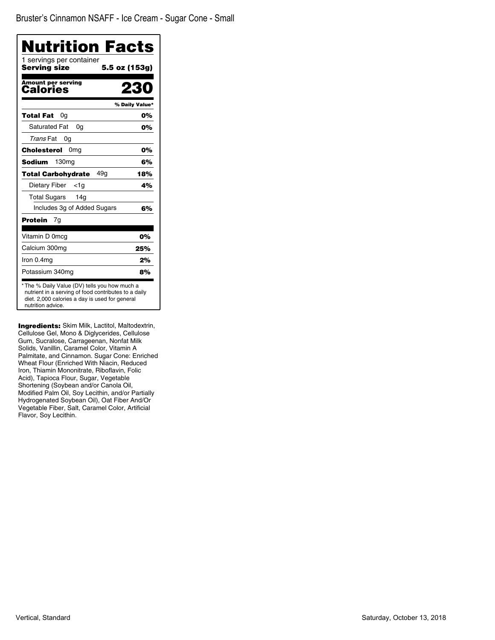| Nutrition Facts<br>1 servings per container |                |
|---------------------------------------------|----------------|
| Serving size                                | 5.5 oz (153g)  |
| <b>Amount per serving</b><br>Calories       |                |
|                                             | % Daily Value* |
| Total Fat<br>0g                             | 0%             |
| <b>Saturated Fat</b><br>0a                  | 0%             |
| Trans Fat<br>0g                             |                |
| Cholesterol<br>0mg                          | 0%             |
| 130 <sub>mq</sub><br>Sodium                 | 6%             |
| 49a<br><b>Total Carbohydrate</b>            | 18%            |
| Dietary Fiber<br><1a                        | 4%             |
| <b>Total Sugars</b><br>14g                  |                |
| Includes 3g of Added Sugars                 | 6%             |
| Protein<br>7g                               |                |
| Vitamin D 0mcg                              | 0%             |
| Calcium 300mg                               | 25%            |
| Iron 0.4mg                                  | 2%             |
| Potassium 340mg                             | 8%             |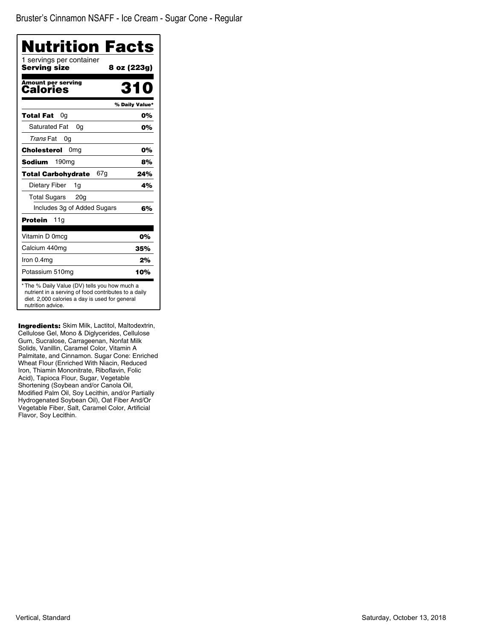| Nutrition Facts                                                                                                                                                              |                |
|------------------------------------------------------------------------------------------------------------------------------------------------------------------------------|----------------|
| 1 servings per container<br>Serving size                                                                                                                                     | 8 oz (223g)    |
| <b>Amount per serving</b><br>Calories                                                                                                                                        | 310            |
|                                                                                                                                                                              | % Daily Value* |
| Total Fat<br>0a                                                                                                                                                              | 0%             |
| <b>Saturated Fat</b><br>0a                                                                                                                                                   | 0%             |
| Trans Fat<br>0g                                                                                                                                                              |                |
| 0 <sub>mg</sub><br>Cholesterol                                                                                                                                               | 0%             |
| Sodium<br>190 <sub>mg</sub>                                                                                                                                                  | 8%             |
| <b>Total Carbohydrate</b><br>67g                                                                                                                                             | 24%            |
| Dietary Fiber<br>1g                                                                                                                                                          | 4%             |
| <b>Total Sugars</b><br>20 <sub>g</sub>                                                                                                                                       |                |
| Includes 3g of Added Sugars                                                                                                                                                  | 6%             |
| Protein<br>11g                                                                                                                                                               |                |
| Vitamin D 0mcg                                                                                                                                                               | 0%             |
| Calcium 440mg                                                                                                                                                                | 35%            |
| Iron 0.4mg                                                                                                                                                                   | 2%             |
| Potassium 510mg                                                                                                                                                              | 10%            |
| * The % Daily Value (DV) tells you how much a<br>nutrient in a serving of food contributes to a daily<br>diet. 2,000 calories a day is used for general<br>nutrition advice. |                |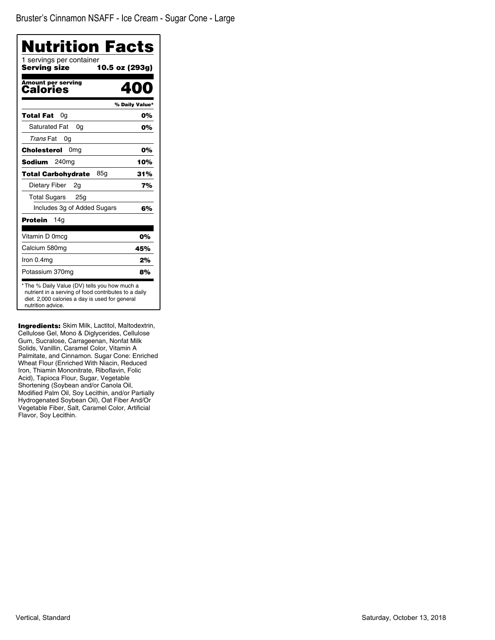| <b>Nutrition Facts</b><br>1 servings per container |                |
|----------------------------------------------------|----------------|
| Serving size                                       | 10.5 oz (293g) |
| <b>Amount per serving</b><br>Calories              | nn             |
|                                                    | % Daily Value* |
| Total Fat<br>0g                                    | 0%             |
| <b>Saturated Fat</b><br>0a                         | 0%             |
| Trans Fat<br>0g                                    |                |
| 0 <sub>mg</sub><br>Cholesterol                     | 0%             |
| <b>Sodium</b><br>240 <sub>mg</sub>                 | 10%            |
| 85g<br><b>Total Carbohydrate</b>                   | 31%            |
| Dietary Fiber<br>2g                                | 7%             |
| <b>Total Sugars</b><br>25 <sub>g</sub>             |                |
| Includes 3g of Added Sugars                        | 6%             |
| Protein<br>14g                                     |                |
| Vitamin D 0mcg                                     | 0%             |
| Calcium 580mg                                      | 45%            |
| Iron 0.4mg                                         | 2%             |
| Potassium 370mg                                    | 8%             |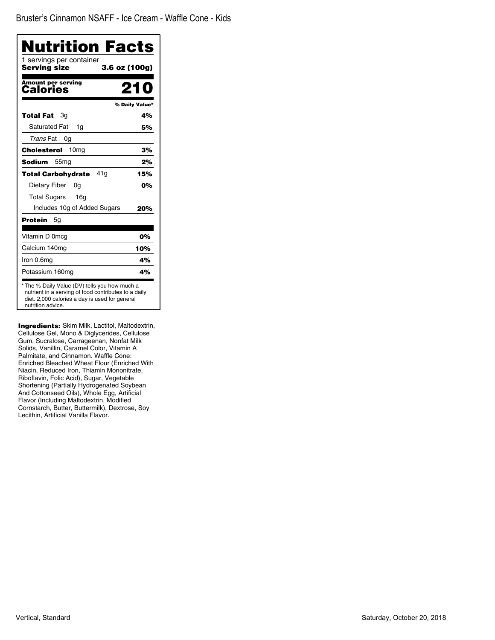| Nutrition Facts                          |                |
|------------------------------------------|----------------|
| 1 servings per container<br>Servina size | 3.6 oz (100g)  |
| <b>Amount per serving</b><br>Calories    | 210            |
|                                          | % Daily Value* |
| Total Fat<br>Зg                          | 4%             |
| <b>Saturated Fat</b><br>1q               | 5%             |
| Trans Fat<br>0g                          |                |
| 10 <sub>mg</sub><br>Cholesterol          | 3%             |
| Sodium<br>55 <sub>mq</sub>               | 2%             |
| 41a<br><b>Total Carbohydrate</b>         | 15%            |
| Dietary Fiber<br>0a                      | 0%             |
| <b>Total Sugars</b><br>16g               |                |
| Includes 10g of Added Sugars             | 20%            |
| <b>Protein</b><br>5g                     |                |
| Vitamin D 0mcg                           | 0%             |
| Calcium 140mg                            | 10%            |
| Iron 0.6mg                               | 4%             |
| Potassium 160mg                          | 4%             |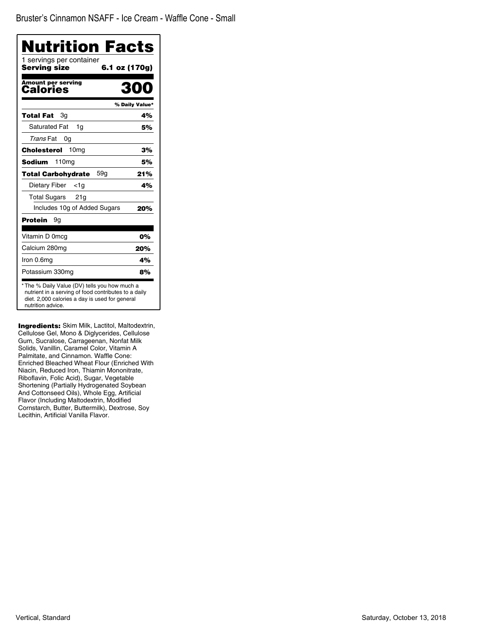| Nutrition Facts                          |                |
|------------------------------------------|----------------|
| 1 servings per container<br>Serving size | 6.1 oz (170g)  |
| Amount per serving<br>Calories           | RNO            |
|                                          | % Daily Value* |
| Total Fat<br>Зq                          | 4%             |
| <b>Saturated Fat</b><br>1g               | 5%             |
| Trans Fat<br>0g                          |                |
| 10 <sub>mg</sub><br>Cholesterol          | 3%             |
| 110 <sub>mg</sub><br>Sodium              | 5%             |
| 59a<br><b>Total Carbohydrate</b>         | 21%            |
| Dietary Fiber<br><1a                     | 4%             |
| <b>Total Sugars</b><br>21g               |                |
| Includes 10g of Added Sugars             | 20%            |
| <b>Protein</b><br>9g                     |                |
| Vitamin D 0mcq                           | 0%             |
| Calcium 280mg                            | 20%            |
| Iron 0.6mg                               | 4%             |
| Potassium 330mg                          | 8%             |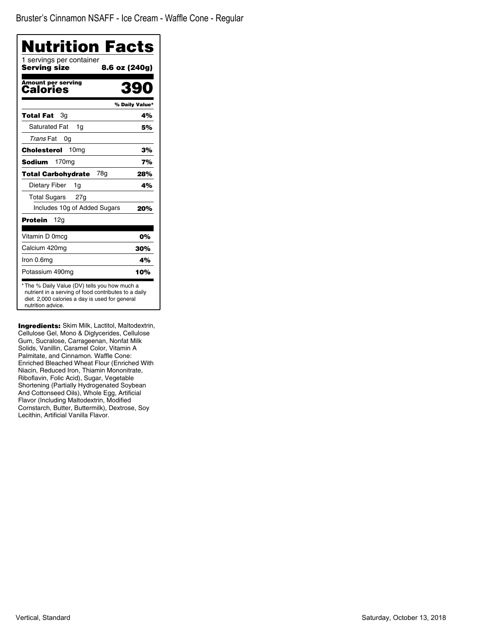| Nutrition Facts                                                                                                                                                              |                |
|------------------------------------------------------------------------------------------------------------------------------------------------------------------------------|----------------|
| 1 servings per container<br>Servina size<br>8.6 oz (240g)                                                                                                                    |                |
| <b>Amount per serving</b><br>Calories                                                                                                                                        | 39             |
|                                                                                                                                                                              | % Daily Value* |
| Total Fat<br>Зg                                                                                                                                                              | 4%             |
| <b>Saturated Fat</b><br>1q                                                                                                                                                   | 5%             |
| Trans Fat<br>0g                                                                                                                                                              |                |
| 10 <sub>mg</sub><br>Cholesterol                                                                                                                                              | 3%             |
| 170 <sub>mg</sub><br>Sodium                                                                                                                                                  | 7%             |
| 78a<br><b>Total Carbohydrate</b>                                                                                                                                             | 28%            |
| Dietary Fiber<br>1g                                                                                                                                                          | 4%             |
| Total Sugars<br>27g                                                                                                                                                          |                |
| Includes 10g of Added Sugars                                                                                                                                                 | 20%            |
| Protein<br>12g                                                                                                                                                               |                |
| Vitamin D 0mcg                                                                                                                                                               | 0%             |
| Calcium 420mg                                                                                                                                                                | 30%            |
| Iron 0.6mg                                                                                                                                                                   | 4%             |
| Potassium 490mg                                                                                                                                                              | 10%            |
| * The % Daily Value (DV) tells you how much a<br>nutrient in a serving of food contributes to a daily<br>diet. 2,000 calories a day is used for general<br>nutrition advice. |                |